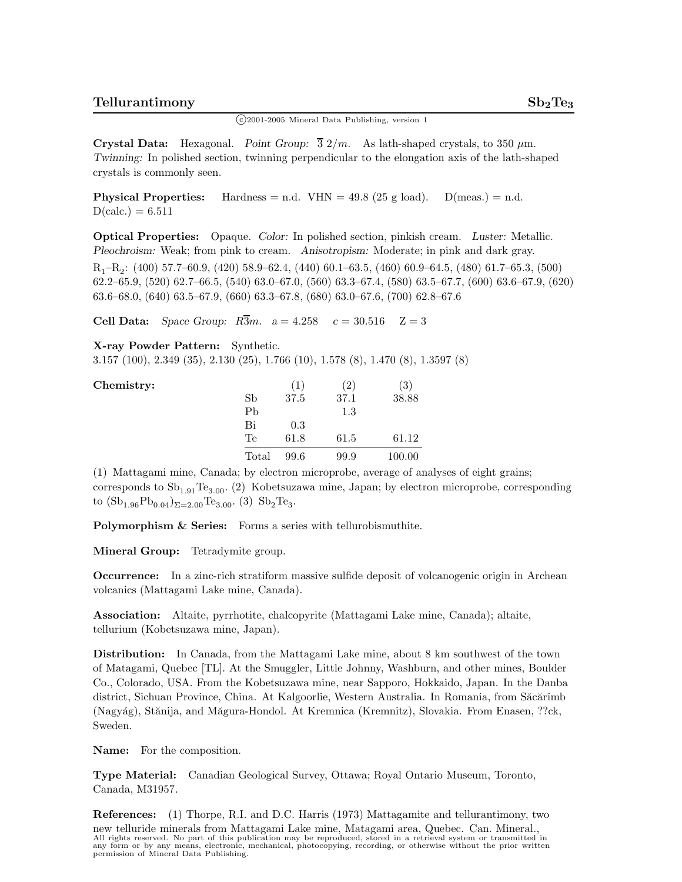$\binom{c}{2001-2005}$  Mineral Data Publishing, version 1

**Crystal Data:** Hexagonal. *Point Group:*  $\overline{3}$   $2/m$ . As lath-shaped crystals, to 350  $\mu$ m. *Twinning:* In polished section, twinning perpendicular to the elongation axis of the lath-shaped crystals is commonly seen.

**Physical Properties:** Hardness = n.d.  $VHN = 49.8$  (25 g load).  $D(meas.) = n.d.$  $D(calc.) = 6.511$ 

**Optical Properties:** Opaque. *Color:* In polished section, pinkish cream. *Luster:* Metallic. *Pleochroism:* Weak; from pink to cream. *Anisotropism:* Moderate; in pink and dark gray.

 $R_1-R_2$ : (400) 57.7–60.9, (420) 58.9–62.4, (440) 60.1–63.5, (460) 60.9–64.5, (480) 61.7–65.3, (500) 62.2–65.9, (520) 62.7–66.5, (540) 63.0–67.0, (560) 63.3–67.4, (580) 63.5–67.7, (600) 63.6–67.9, (620) 63.6–68.0, (640) 63.5–67.9, (660) 63.3–67.8, (680) 63.0–67.6, (700) 62.8–67.6

**Cell Data:** *Space Group:*  $R\overline{3}m$ .  $a = 4.258$   $c = 30.516$   $Z = 3$ 

**X-ray Powder Pattern:** Synthetic.

3.157 (100), 2.349 (35), 2.130 (25), 1.766 (10), 1.578 (8), 1.470 (8), 1.3597 (8)

| Chemistry: |       | (1)  | $\left( 2\right)$ | (3)    |
|------------|-------|------|-------------------|--------|
|            | Sb    | 37.5 | 37.1              | 38.88  |
|            | Pb    |      | 1.3               |        |
|            | Bi    | 0.3  |                   |        |
|            | Te    | 61.8 | 61.5              | 61.12  |
|            | Total | 99.6 | 99.9              | 100.00 |

(1) Mattagami mine, Canada; by electron microprobe, average of analyses of eight grains; corresponds to  $\mathrm{Sb}_{1.91}\mathrm{Te}_{3.00}$ . (2) Kobetsuzawa mine, Japan; by electron microprobe, corresponding to  $(Sb_{1.96}Pb_{0.04})_{\Sigma=2.00}$ Te<sub>3.00</sub>. (3)  $Sb_2$ Te<sub>3</sub>.

Polymorphism & Series: Forms a series with tellurobismuthite.

**Mineral Group:** Tetradymite group.

**Occurrence:** In a zinc-rich stratiform massive sulfide deposit of volcanogenic origin in Archean volcanics (Mattagami Lake mine, Canada).

**Association:** Altaite, pyrrhotite, chalcopyrite (Mattagami Lake mine, Canada); altaite, tellurium (Kobetsuzawa mine, Japan).

**Distribution:** In Canada, from the Mattagami Lake mine, about 8 km southwest of the town of Matagami, Quebec [TL]. At the Smuggler, Little Johnny, Washburn, and other mines, Boulder Co., Colorado, USA. From the Kobetsuzawa mine, near Sapporo, Hokkaido, Japan. In the Danba district, Sichuan Province, China. At Kalgoorlie, Western Australia. In Romania, from Săcărîmb (Nagyág), Stănija, and Măgura-Hondol. At Kremnica (Kremnitz), Slovakia. From Enasen, ??ck, Sweden.

**Name:** For the composition.

**Type Material:** Canadian Geological Survey, Ottawa; Royal Ontario Museum, Toronto, Canada, M31957.

**References:** (1) Thorpe, R.I. and D.C. Harris (1973) Mattagamite and tellurantimony, two new telluride minerals from Mattagami Lake mine, Matagami area, Quebec. Can. Mineral., All rights reserved. No part of this publication may be reproduced, stored in a retrieval system or transmitted in any form or by any means, electronic, mechanical, photocopying, recording, or otherwise without the prior written permission of Mineral Data Publishing.